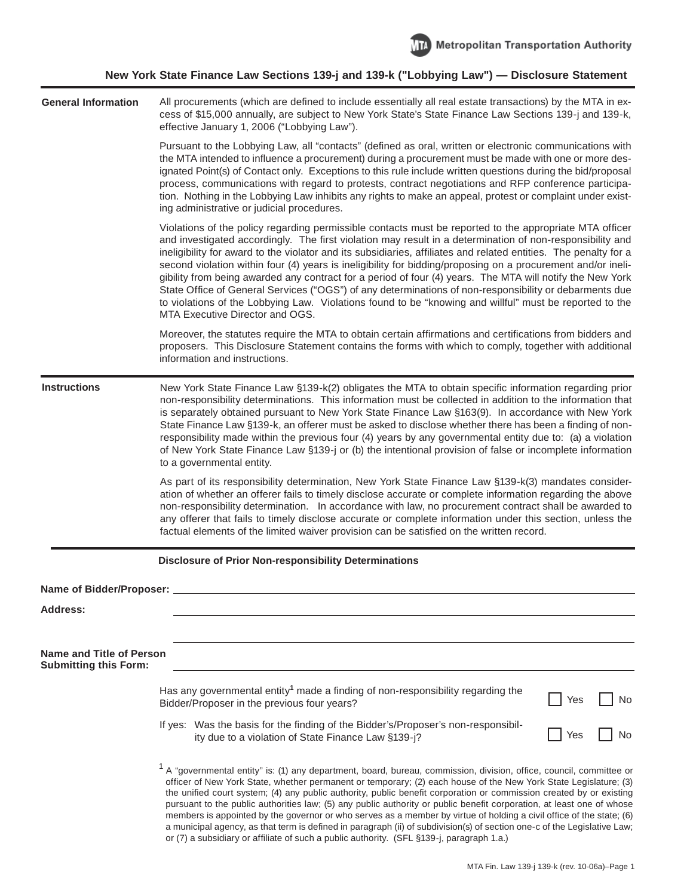

## **New York State Finance Law Sections 139-j and 139-k ("Lobbying Law") — Disclosure Statement**

All procurements (which are defined to include essentially all real estate transactions) by the MTA in excess of \$15,000 annually, are subject to New York State's State Finance Law Sections 139-j and 139-k, effective January 1, 2006 ("Lobbying Law"). Pursuant to the Lobbying Law, all "contacts" (defined as oral, written or electronic communications with the MTA intended to influence a procurement) during a procurement must be made with one or more designated Point(s) of Contact only. Exceptions to this rule include written questions during the bid/proposal process, communications with regard to protests, contract negotiations and RFP conference participation. Nothing in the Lobbying Law inhibits any rights to make an appeal, protest or complaint under existing administrative or judicial procedures. Violations of the policy regarding permissible contacts must be reported to the appropriate MTA officer and investigated accordingly. The first violation may result in a determination of non-responsibility and ineligibility for award to the violator and its subsidiaries, affiliates and related entities. The penalty for a second violation within four (4) years is ineligibility for bidding/proposing on a procurement and/or ineligibility from being awarded any contract for a period of four (4) years. The MTA will notify the New York State Office of General Services ("OGS") of any determinations of non-responsibility or debarments due to violations of the Lobbying Law. Violations found to be "knowing and willful" must be reported to the MTA Executive Director and OGS. Moreover, the statutes require the MTA to obtain certain affirmations and certifications from bidders and proposers. This Disclosure Statement contains the forms with which to comply, together with additional information and instructions. **General Information** New York State Finance Law §139-k(2) obligates the MTA to obtain specific information regarding prior non-responsibility determinations. This information must be collected in addition to the information that is separately obtained pursuant to New York State Finance Law §163(9). In accordance with New York State Finance Law §139-k, an offerer must be asked to disclose whether there has been a finding of nonresponsibility made within the previous four (4) years by any governmental entity due to: (a) a violation of New York State Finance Law §139-j or (b) the intentional provision of false or incomplete information to a governmental entity. As part of its responsibility determination, New York State Finance Law §139-k(3) mandates consideration of whether an offerer fails to timely disclose accurate or complete information regarding the above non-responsibility determination. In accordance with law, no procurement contract shall be awarded to any offerer that fails to timely disclose accurate or complete information under this section, unless the factual elements of the limited waiver provision can be satisfied on the written record. **Instructions Name of Bidder/Proposer: Address: Name and Title of Person Submitting this Form: Disclosure of Prior Non-responsibility Determinations** Has any governmental entity<sup>1</sup> made a finding of non-responsibility regarding the Bidder/Proposer in the previous four years? If yes: Was the basis for the finding of the Bidder's/Proposer's non-responsibility due to a violation of State Finance Law §139-j? Yes IINo Yes II No  $1$  A "governmental entity" is: (1) any department, board, bureau, commission, division, office, council, committee or officer of New York State, whether permanent or temporary; (2) each house of the New York State Legislature; (3) the unified court system; (4) any public authority, public benefit corporation or commission created by or existing pursuant to the public authorities law; (5) any public authority or public benefit corporation, at least one of whose members is appointed by the governor or who serves as a member by virtue of holding a civil office of the state;  $(6)$ 

a municipal agency, as that term is defined in paragraph (ii) of subdivision(s) of section one-c of the Legislative Law;

or (7) a subsidiary or affiliate of such a public authority. (SFL §139-j, paragraph 1.a.)